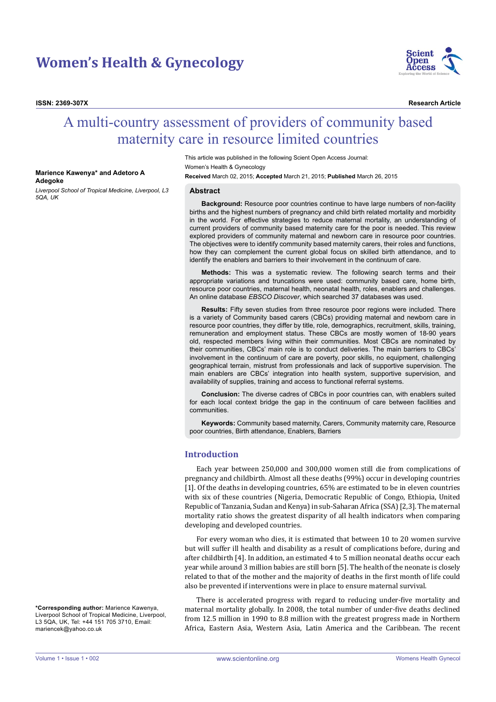# **Women's Health & Gynecology**



**ISSN: 2369-307X Research Article**

# A multi-country assessment of providers of community based maternity care in resource limited countries

#### **Marience Kawenya\* and Adetoro A Adegoke**

*Liverpool School of Tropical Medicine, Liverpool, L3 5QA, UK*

This article was published in the following Scient Open Access Journal: Women's Health & Gynecology **Received** March 02, 2015; **Accepted** March 21, 2015; **Published** March 26, 2015

#### **Abstract**

**Background:** Resource poor countries continue to have large numbers of non-facility births and the highest numbers of pregnancy and child birth related mortality and morbidity in the world. For effective strategies to reduce maternal mortality, an understanding of current providers of community based maternity care for the poor is needed. This review explored providers of community maternal and newborn care in resource poor countries. The objectives were to identify community based maternity carers, their roles and functions, how they can complement the current global focus on skilled birth attendance, and to identify the enablers and barriers to their involvement in the continuum of care.

**Methods:** This was a systematic review. The following search terms and their appropriate variations and truncations were used: community based care, home birth, resource poor countries, maternal health, neonatal health, roles, enablers and challenges. An online database *EBSCO Discover*, which searched 37 databases was used.

**Results:** Fifty seven studies from three resource poor regions were included. There is a variety of Community based carers (CBCs) providing maternal and newborn care in resource poor countries, they differ by title, role, demographics, recruitment, skills, training, remuneration and employment status. These CBCs are mostly women of 18-90 years old, respected members living within their communities. Most CBCs are nominated by their communities, CBCs' main role is to conduct deliveries. The main barriers to CBCs' involvement in the continuum of care are poverty, poor skills, no equipment, challenging geographical terrain, mistrust from professionals and lack of supportive supervision. The main enablers are CBCs' integration into health system, supportive supervision, and availability of supplies, training and access to functional referral systems.

**Conclusion:** The diverse cadres of CBCs in poor countries can, with enablers suited for each local context bridge the gap in the continuum of care between facilities and communities.

**Keywords:** Community based maternity, Carers, Community maternity care, Resource poor countries, Birth attendance, Enablers, Barriers

# **Introduction**

Each year between 250,000 and 300,000 women still die from complications of pregnancy and childbirth. Almost all these deaths (99%) occur in developing countries [1]. Of the deaths in developing countries, 65% are estimated to be in eleven countries with six of these countries (Nigeria, Democratic Republic of Congo, Ethiopia, United Republic of Tanzania, Sudan and Kenya) in sub-Saharan Africa (SSA) [2,3]. The maternal mortality ratio shows the greatest disparity of all health indicators when comparing developing and developed countries.

For every woman who dies, it is estimated that between 10 to 20 women survive but will suffer ill health and disability as a result of complications before, during and after childbirth [4]. In addition, an estimated 4 to 5 million neonatal deaths occur each year while around 3 million babies are still born [5]. The health of the neonate is closely related to that of the mother and the majority of deaths in the first month of life could also be prevented if interventions were in place to ensure maternal survival.

There is accelerated progress with regard to reducing under-five mortality and maternal mortality globally. In 2008, the total number of under-five deaths declined from 12.5 million in 1990 to 8.8 million with the greatest progress made in Northern Africa, Eastern Asia, Western Asia, Latin America and the Caribbean. The recent

**\*Corresponding author:** Marience Kawenya, Liverpool School of Tropical Medicine, Liverpool, L3 5QA, UK, Tel: +44 151 705 3710, Email: mariencek@yahoo.co.uk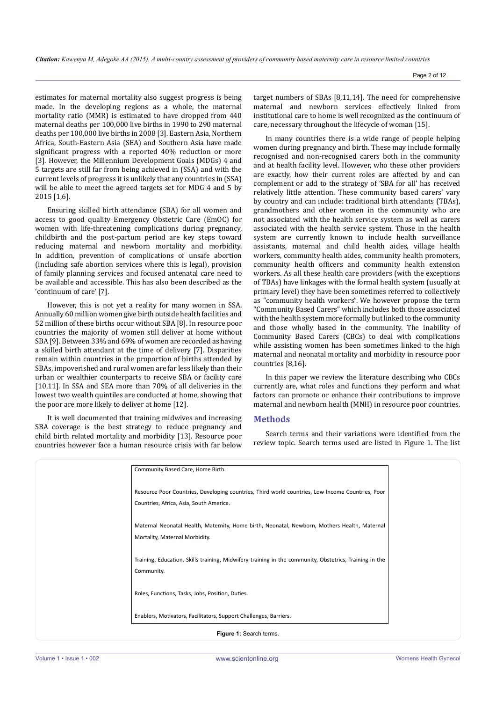estimates for maternal mortality also suggest progress is being made. In the developing regions as a whole, the maternal mortality ratio (MMR) is estimated to have dropped from 440 maternal deaths per 100,000 live births in 1990 to 290 maternal deaths per 100,000 live births in 2008 [3]. Eastern Asia, Northern Africa, South-Eastern Asia (SEA) and Southern Asia have made significant progress with a reported 40% reduction or more [3]. However, the Millennium Development Goals (MDGs) 4 and 5 targets are still far from being achieved in (SSA) and with the current levels of progress it is unlikely that any countries in (SSA) will be able to meet the agreed targets set for MDG 4 and 5 by 2015 [1,6].

Ensuring skilled birth attendance (SBA) for all women and access to good quality Emergency Obstetric Care (EmOC) for women with life-threatening complications during pregnancy, childbirth and the post-partum period are key steps toward reducing maternal and newborn mortality and morbidity. In addition, prevention of complications of unsafe abortion (including safe abortion services where this is legal), provision of family planning services and focused antenatal care need to be available and accessible. This has also been described as the 'continuum of care' [7].

However, this is not yet a reality for many women in SSA. Annually 60 million women give birth outside health facilities and 52 million of these births occur without SBA [8]. In resource poor countries the majority of women still deliver at home without SBA [9]. Between 33% and 69% of women are recorded as having a skilled birth attendant at the time of delivery [7]. Disparities remain within countries in the proportion of births attended by SBAs, impoverished and rural women are far less likely than their urban or wealthier counterparts to receive SBA or facility care [10,11]. In SSA and SEA more than 70% of all deliveries in the lowest two wealth quintiles are conducted at home, showing that the poor are more likely to deliver at home [12].

It is well documented that training midwives and increasing SBA coverage is the best strategy to reduce pregnancy and child birth related mortality and morbidity [13]. Resource poor countries however face a human resource crisis with far below target numbers of SBAs [8,11,14]. The need for comprehensive maternal and newborn services effectively linked from institutional care to home is well recognized as the continuum of care, necessary throughout the lifecycle of woman [15].

In many countries there is a wide range of people helping women during pregnancy and birth. These may include formally recognised and non-recognised carers both in the community and at health facility level. However, who these other providers are exactly, how their current roles are affected by and can complement or add to the strategy of 'SBA for all' has received relatively little attention. These community based carers' vary by country and can include: traditional birth attendants (TBAs), grandmothers and other women in the community who are not associated with the health service system as well as carers associated with the health service system. Those in the health system are currently known to include health surveillance assistants, maternal and child health aides, village health workers, community health aides, community health promoters, community health officers and community health extension workers. As all these health care providers (with the exceptions of TBAs) have linkages with the formal health system (usually at primary level) they have been sometimes referred to collectively as "community health workers". We however propose the term "Community Based Carers" which includes both those associated with the health system more formally but linked to the community and those wholly based in the community. The inability of Community Based Carers (CBCs) to deal with complications while assisting women has been sometimes linked to the high maternal and neonatal mortality and morbidity in resource poor countries [8,16].

In this paper we review the literature describing who CBCs currently are, what roles and functions they perform and what factors can promote or enhance their contributions to improve maternal and newborn health (MNH) in resource poor countries.

## **Methods**

Search terms and their variations were identified from the review topic. Search terms used are listed in Figure 1. The list

|                         | Community Based Care, Home Birth.                                                                                                           |  |
|-------------------------|---------------------------------------------------------------------------------------------------------------------------------------------|--|
|                         | Resource Poor Countries, Developing countries, Third world countries, Low Income Countries, Poor<br>Countries, Africa, Asia, South America. |  |
|                         | Maternal Neonatal Health, Maternity, Home birth, Neonatal, Newborn, Mothers Health, Maternal<br>Mortality, Maternal Morbidity.              |  |
|                         | Training, Education, Skills training, Midwifery training in the community, Obstetrics, Training in the<br>Community.                        |  |
|                         | Roles, Functions, Tasks, Jobs, Position, Duties.                                                                                            |  |
|                         | Enablers, Motivators, Facilitators, Support Challenges, Barriers.                                                                           |  |
| Figure 1: Search terms. |                                                                                                                                             |  |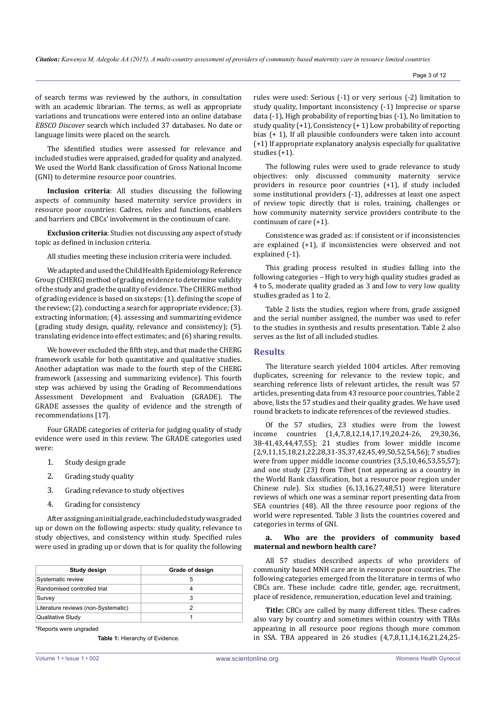of search terms was reviewed by the authors, in consultation with an academic librarian. The terms, as well as appropriate variations and truncations were entered into an online database *EBSCO Discover* search which included 37 databases. No date or language limits were placed on the search.

The identified studies were assessed for relevance and included studies were appraised, graded for quality and analyzed. We used the World Bank classification of Gross National Income (GNI) to determine resource poor countries.

**Inclusion criteria**: All studies discussing the following aspects of community based maternity service providers in resource poor countries: Cadres, roles and functions, enablers and barriers and CBCs' involvement in the continuum of care.

**Exclusion criteria**: Studies not discussing any aspect of study topic as defined in inclusion criteria.

All studies meeting these inclusion criteria were included.

We adapted and used the Child Health Epidemiology Reference Group (CHERG) method of grading evidence to determine validity of the study and grade the quality of evidence. The CHERG method of grading evidence is based on six steps: (1). defining the scope of the review; (2). conducting a search for appropriate evidence; (3). extracting information; (4). assessing and summarizing evidence (grading study design, quality, relevance and consistency); (5). translating evidence into effect estimates; and (6) sharing results.

We however excluded the fifth step, and that made the CHERG framework usable for both quantitative and qualitative studies. Another adaptation was made to the fourth step of the CHERG framework (assessing and summarizing evidence). This fourth step was achieved by using the Grading of Recommendations Assessment Development and Evaluation (GRADE). The GRADE assesses the quality of evidence and the strength of recommendations [17].

Four GRADE categories of criteria for judging quality of study evidence were used in this review. The GRADE categories used were:

- 1. Study design grade
- 2. Grading study quality
- 3. Grading relevance to study objectives
- 4. Grading for consistency

After assigning an initial grade, each included study was graded up or down on the following aspects: study quality, relevance to study objectives, and consistency within study. Specified rules were used in grading up or down that is for quality the following

| Study design                        | Grade of design |
|-------------------------------------|-----------------|
| Systematic review                   |                 |
| Randomised controlled trial         |                 |
| Survey                              |                 |
| Literature reviews (non-Systematic) |                 |
| Qualitative Study                   |                 |

\*Reports were ungraded

**Table 1:** Hierarchy of Evidence.

rules were used: Serious (-1) or very serious (-2) limitation to study quality, Important inconsistency (-1) Imprecise or sparse data (-1), High probability of reporting bias (-1), No limitation to study quality (+1), Consistency (+ 1) Low probability of reporting bias (+ 1), If all plausible confounders were taken into account (+1) If appropriate explanatory analysis especially for qualitative studies (+1).

The following rules were used to grade relevance to study objectives: only discussed community maternity service providers in resource poor countries (+1), if study included some institutional providers (-1), addresses at least one aspect of review topic directly that is roles, training, challenges or how community maternity service providers contribute to the continuum of care (+1).

Consistence was graded as: if consistent or if inconsistencies are explained (+1), if inconsistencies were observed and not explained (-1).

This grading process resulted in studies falling into the following categories *–* High to very high quality studies graded as 4 to 5, moderate quality graded as 3 and low to very low quality studies graded as 1 to 2.

Table 2 lists the studies, region where from, grade assigned and the serial number assigned, the number was used to refer to the studies in synthesis and results presentation. Table 2 also serves as the list of all included studies.

# **Results**

The literature search yielded 1004 articles. After removing duplicates, screening for relevance to the review topic, and searching reference lists of relevant articles, the result was 57 articles, presenting data from 43 resource poor countries, Table 2 above, lists the 57 studies and their quality grades. We have used round brackets to indicate references of the reviewed studies.

Of the 57 studies, 23 studies were from the lowest income countries (1,4,7,8,12,14,17,19,20,24-26, 29,30,36, 38-41,43,44,47,55); 21 studies from lower middle income (2,9,11,15,18,21,22,28,31-35,37,42,45,49,50,52,54,56); 7 studies were from upper middle income countries (3,5,10,46,53,55,57); and one study (23) from Tibet (not appearing as a country in the World Bank classification, but a resource poor region under Chinese rule). Six studies (6,13,16,27,48,51) were literature reviews of which one was a seminar report presenting data from SEA countries (48). All the three resource poor regions of the world were represented. Table 3 lists the countries covered and categories in terms of GNI.

### **a. Who are the providers of community based maternal and newborn health care?**

All 57 studies described aspects of who providers of community based MNH care are in resource poor countries. The following categories emerged from the literature in terms of who CBCs are. These include: cadre title, gender, age, recruitment, place of residence, remuneration, education level and training.

**Title:** CBCs are called by many different titles. These cadres also vary by country and sometimes within country with TBAs appearing in all resource poor regions though more common in SSA. TBA appeared in 26 studies (4,7,8,11,14,16,21,24,25-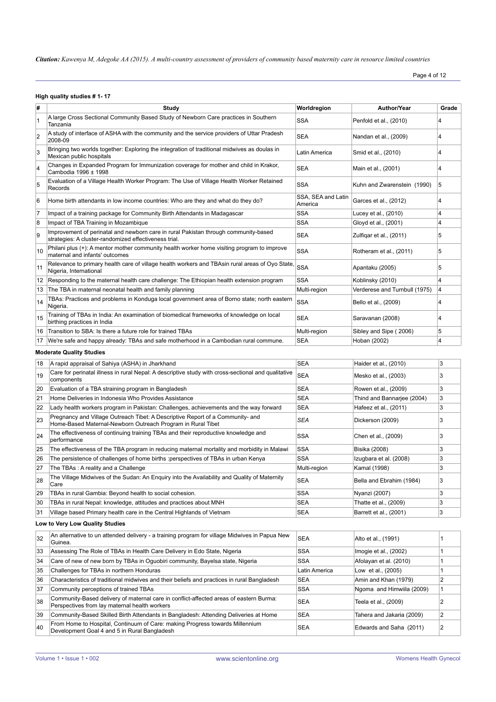Page 4 of 12

## **High quality studies # 1- 17**

| #                               | Study                                                                                                                                         | Worldregion                   | <b>Author/Year</b>            | Grade                   |
|---------------------------------|-----------------------------------------------------------------------------------------------------------------------------------------------|-------------------------------|-------------------------------|-------------------------|
| $\mathbf{1}$                    | A large Cross Sectional Community Based Study of Newborn Care practices in Southern<br>Tanzania                                               | <b>SSA</b>                    | Penfold et al., (2010)        | 4                       |
| $\overline{2}$                  | A study of interface of ASHA with the community and the service providers of Uttar Pradesh<br>2008-09                                         | <b>SEA</b>                    | Nandan et al., (2009)         | $\overline{4}$          |
| 3                               | Bringing two worlds together: Exploring the integration of traditional midwives as doulas in<br>Mexican public hospitals                      | Latin America                 | Smid et al., (2010)           | 4                       |
| $\overline{4}$                  | Changes in Expanded Program for Immunization coverage for mother and child in Krakor,<br>Cambodia 1996 ± 1998                                 | <b>SEA</b>                    | Main et al., (2001)           | $\overline{4}$          |
| 5                               | Evaluation of a Village Health Worker Program: The Use of Village Health Worker Retained<br>Records                                           | <b>SSA</b>                    | Kuhn and Zwarenstein (1990)   | 5                       |
| 6                               | Home birth attendants in low income countries: Who are they and what do they do?                                                              | SSA, SEA and Latin<br>America | Garces et al., (2012)         | 4                       |
| 7                               | Impact of a training package for Community Birth Attendants in Madagascar                                                                     | <b>SSA</b>                    | Lucey et al., (2010)          | $\overline{4}$          |
| 8                               | Impact of TBA Training in Mozambique                                                                                                          | <b>SSA</b>                    | Gloyd et al., (2001)          | $\overline{4}$          |
| 9                               | Improvement of perinatal and newborn care in rural Pakistan through community-based<br>strategies: A cluster-randomized effectiveness trial.  | <b>SEA</b>                    | Zulfigar et al., (2011)       | 5                       |
| 10                              | Philani plus (+): A mentor mother community health worker home visiting program to improve<br>maternal and infants' outcomes                  | <b>SSA</b>                    | Rotheram et al., (2011)       | 5                       |
| 11                              | Relevance to primary health care of village health workers and TBAsin rural areas of Oyo State<br>Nigeria, International                      | <b>SSA</b>                    | Apantaku (2005)               | 5                       |
|                                 | 12 Responding to the maternal health care challenge: The Ethiopian health extension program                                                   | <b>SSA</b>                    | Koblinsky (2010)              | $\overline{4}$          |
| 13                              | The TBA in maternal neonatal health and family planning                                                                                       | Multi-region                  | Verderese and Turnbull (1975) | $\overline{4}$          |
| 14                              | TBAs: Practices and problems in Konduga local government area of Borno state; north eastern<br>Nigeria.                                       | <b>SSA</b>                    | Bello et al., (2009)          | 4                       |
| 15                              | Training of TBAs in India: An examination of biomedical frameworks of knowledge on local<br>birthing practices in India                       | <b>SEA</b>                    | Saravanan (2008)              | 4                       |
| 16                              | Transition to SBA: Is there a future role for trained TBAs                                                                                    | Multi-region                  | Sibley and Sipe (2006)        | 5                       |
| 17                              | We're safe and happy already: TBAs and safe motherhood in a Cambodian rural commune.                                                          | <b>SEA</b>                    | Hoban (2002)                  | $\overline{4}$          |
|                                 | <b>Moderate Quality Studies</b>                                                                                                               |                               |                               |                         |
| 18                              | A rapid appraisal of Sahiya (ASHA) in Jharkhand                                                                                               | <b>SEA</b>                    | Haider et al., (2010)         | 3                       |
| 19                              | Care for perinatal illness in rural Nepal: A descriptive study with cross-sectional and qualitative<br>components                             | <b>SEA</b>                    | Mesko et al., (2003)          | 3                       |
| 20                              | Evaluation of a TBA straining program in Bangladesh                                                                                           | <b>SEA</b>                    | Rowen et al., (2009)          | 3                       |
| 21                              | Home Deliveries in Indonesia Who Provides Assistance                                                                                          | <b>SEA</b>                    | Thind and Bannarjee (2004)    | 3                       |
| 22                              | Lady health workers program in Pakistan: Challenges, achievements and the way forward                                                         | <b>SEA</b>                    | Hafeez et al., (2011)         | 3                       |
| 23                              | Pregnancy and Village Outreach Tibet: A Descriptive Report of a Community- and<br>Home-Based Maternal-Newborn Outreach Program in Rural Tibet | <b>SEA</b>                    | Dickerson (2009)              | 3                       |
| 24                              | The effectiveness of continuing training TBAs and their reproductive knowledge and<br>performance                                             | <b>SSA</b>                    | Chen et al., (2009)           | 3                       |
| 25                              | The effectiveness of the TBA program in reducing maternal mortality and morbidity in Malawi                                                   | <b>SSA</b>                    | Bisika (2008)                 | 3                       |
| 26                              | The persistence of challenges of home births : perspectives of TBAs in urban Kenya                                                            | <b>SSA</b>                    | Izugbara et al. (2008)        | 3                       |
| 27                              | The TBAs: A reality and a Challenge                                                                                                           | Multi-region                  | Kamal (1998)                  | 3                       |
| 28                              | The Village Midwives of the Sudan: An Enquiry into the Availability and Quality of Maternity<br>Care                                          | SEA                           | Bella and Ebrahim (1984)      | 3                       |
| 29                              | TBAs in rural Gambia: Beyond health to social cohesion.                                                                                       | <b>SSA</b>                    | Nyanzi (2007)                 | 3                       |
| 30                              | TBAs in rural Nepal: knowledge, attitudes and practices about MNH                                                                             | <b>SEA</b>                    | Thatte et al., (2009)         | 3                       |
| 31                              | Village based Primary health care in the Central Highlands of Vietnam                                                                         | <b>SEA</b>                    | Barrett et al., (2001)        | 3                       |
| Low to Very Low Quality Studies |                                                                                                                                               |                               |                               |                         |
| 32                              | An alternative to un attended delivery - a training program for village Midwives in Papua New<br>Guinea.                                      | <b>SEA</b>                    | Alto et al., (1991)           | 1                       |
| 33                              | Assessing The Role of TBAs in Health Care Delivery in Edo State, Nigeria                                                                      | SSA                           | Imogie et al., (2002)         | 1                       |
| 34                              | Care of new of new born by TBAs in Oguobiri community, Bayelsa state, Nigeria                                                                 | <b>SSA</b>                    | Afolayan et al. (2010)        | 1                       |
| 35                              | Challenges for TBAs in northern Honduras                                                                                                      | Latin America                 | Low et al., (2005)            | 1                       |
| 36                              | Characteristics of traditional midwives and their beliefs and practices in rural Bangladesh                                                   | <b>SEA</b>                    | Amin and Khan (1979)          | $\overline{2}$          |
| 37                              | Community perceptions of trained TBAs                                                                                                         | <b>SSA</b>                    | Ngoma and Himwiila (2009)     | 1                       |
| 38                              | Community-Based delivery of maternal care in conflict-affected areas of eastern Burma:<br>Perspectives from lay maternal health workers       | <b>SEA</b>                    | Teela et al., (2009)          | $\overline{\mathbf{c}}$ |
| 39                              | Community-Based Skilled Birth Attendants in Bangladesh: Attending Deliveries at Home                                                          | <b>SEA</b>                    | Tahera and Jakaria (2009)     | $\boldsymbol{2}$        |

40 From Home to Hospital, Continuum of Care: making Progress towards Millennium SEA SEA Edwards and Saha (2011) 2<br>Development Goal 4 and 5 in Rural Bangladesh Search States and Saha (2011) 2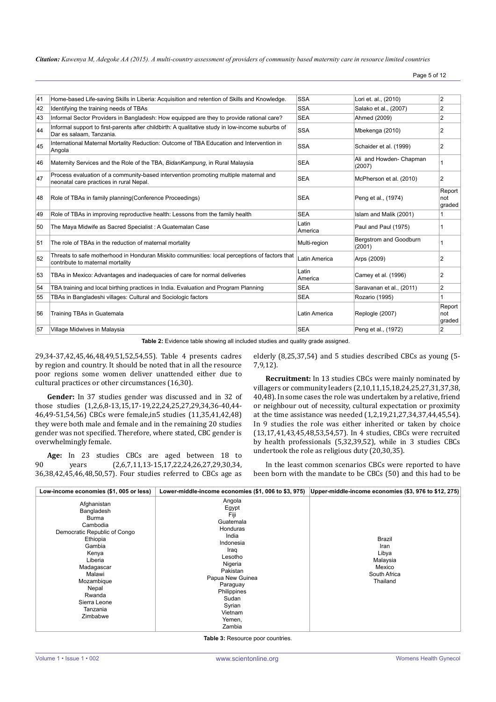Page 5 of 12

| 41 | Home-based Life-saving Skills in Liberia: Acquisition and retention of Skills and Knowledge.                                      | <b>SSA</b>           | Lori et. al., (2010)              | $\overline{2}$          |
|----|-----------------------------------------------------------------------------------------------------------------------------------|----------------------|-----------------------------------|-------------------------|
| 42 | Identifying the training needs of TBAs                                                                                            | <b>SSA</b>           | Salako et al., (2007)             | $\overline{2}$          |
| 43 | Informal Sector Providers in Bangladesh: How equipped are they to provide rational care?                                          | <b>SEA</b>           | Ahmed (2009)                      | $\overline{2}$          |
| 44 | Informal support to first-parents after childbirth: A qualitative study in low-income suburbs of<br>Dar es salaam. Tanzania.      | <b>SSA</b>           | Mbekenga (2010)                   | 2                       |
| 45 | International Maternal Mortality Reduction: Outcome of TBA Education and Intervention in<br>Angola                                | <b>SSA</b>           | Schaider et al. (1999)            | 2                       |
| 46 | Maternity Services and the Role of the TBA, Bidan Kampung, in Rural Malaysia                                                      | <b>SEA</b>           | Ali and Howden- Chapman<br>(2007) | 1                       |
| 47 | Process evaluation of a community-based intervention promoting multiple maternal and<br>neonatal care practices in rural Nepal.   | <b>SEA</b>           | McPherson et al. (2010)           | $\overline{c}$          |
| 48 | Role of TBAs in family planning (Conference Proceedings)                                                                          | <b>SEA</b>           | Peng et al., (1974)               | Report<br>not<br>graded |
| 49 | Role of TBAs in improving reproductive health: Lessons from the family health                                                     | <b>SEA</b>           | Islam and Malik (2001)            | 1                       |
| 50 | The Maya Midwife as Sacred Specialist: A Guatemalan Case                                                                          | Latin<br>America     | Paul and Paul (1975)              |                         |
| 51 | The role of TBAs in the reduction of maternal mortality                                                                           | Multi-region         | Bergstrom and Goodburn<br>(2001)  |                         |
| 52 | Threats to safe motherhood in Honduran Miskito communities: local perceptions of factors that<br>contribute to maternal mortality | Latin America        | Arps (2009)                       | $\overline{2}$          |
| 53 | TBAs in Mexico: Advantages and inadequacies of care for normal deliveries                                                         | Latin<br>America     | Camey et al. (1996)               | 2                       |
| 54 | TBA training and local birthing practices in India. Evaluation and Program Planning                                               | <b>SEA</b>           | Saravanan et al., (2011)          | 2                       |
| 55 | TBAs in Bangladeshi villages: Cultural and Sociologic factors                                                                     | <b>SEA</b>           | Rozario (1995)                    |                         |
| 56 | Training TBAs in Guatemala                                                                                                        | <b>Latin America</b> | Replogle (2007)                   | Report<br>not<br>graded |
| 57 | Village Midwives in Malaysia                                                                                                      | <b>SEA</b>           | Peng et al., (1972)               | $\overline{2}$          |

**Table 2:** Evidence table showing all included studies and quality grade assigned.

29,34-37,42,45,46,48,49,51,52,54,55). Table 4 presents cadres by region and country. It should be noted that in all the resource poor regions some women deliver unattended either due to cultural practices or other circumstances (16,30).

**Gender:** In 37 studies gender was discussed and in 32 of those studies (1,2,6,8-13,15,17-19,22,24,25,27,29,34,36-40,44- 46,49-51,54,56) CBCs were female,in5 studies (11,35,41,42,48) they were both male and female and in the remaining 20 studies gender was not specified. Therefore, where stated, CBC gender is overwhelmingly female.

**Age:** In 23 studies CBCs are aged between 18 to vears (2,6,7,11,13-15,17,22,24,26,27,29,30,34, 90 years (2,6,7,11,13-15,17,22,24,26,27,29,30,34, 36,38,42,45,46,48,50,57). Four studies referred to CBCs age as elderly (8,25,37,54) and 5 studies described CBCs as young (5- 7,9,12).

**Recruitment:** In 13 studies CBCs were mainly nominated by villagers or community leaders (2,10,11,15,18,24,25,27,31,37,38, 40,48). In some cases the role was undertaken by a relative, friend or neighbour out of necessity, cultural expectation or proximity at the time assistance was needed (1,2,19,21,27,34,37,44,45,54). In 9 studies the role was either inherited or taken by choice (13,17,41,43,45,48,53,54,57). In 4 studies, CBCs were recruited by health professionals (5,32,39,52), while in 3 studies CBCs undertook the role as religious duty (20,30,35).

In the least common scenarios CBCs were reported to have been born with the mandate to be CBCs (50) and this had to be

| Low-income economies (\$1, 005 or less)                                                                                                                                                                                   | Lower-middle-income economies (\$1, 006 to \$3, 975)                                                                                                                                                              | Upper-middle-income economies (\$3, 976 to \$12, 275)                            |
|---------------------------------------------------------------------------------------------------------------------------------------------------------------------------------------------------------------------------|-------------------------------------------------------------------------------------------------------------------------------------------------------------------------------------------------------------------|----------------------------------------------------------------------------------|
| Afghanistan<br>Bangladesh<br>Burma<br>Cambodia<br>Democratic Republic of Congo<br>Ethiopia<br>Gambia<br>Kenya<br>Liberia<br>Madagascar<br>Malawi<br>Mozambique<br>Nepal<br>Rwanda<br>Sierra Leone<br>Tanzania<br>Zimbabwe | Angola<br>Egypt<br>Fiji<br>Guatemala<br>Honduras<br>India<br>Indonesia<br>Iraq<br>Lesotho<br>Nigeria<br>Pakistan<br>Papua New Guinea<br>Paraguay<br>Philippines<br>Sudan<br>Syrian<br>Vietnam<br>Yemen,<br>Zambia | <b>Brazil</b><br>Iran<br>Libya<br>Malaysia<br>Mexico<br>South Africa<br>Thailand |

**Table 3:** Resource poor countries.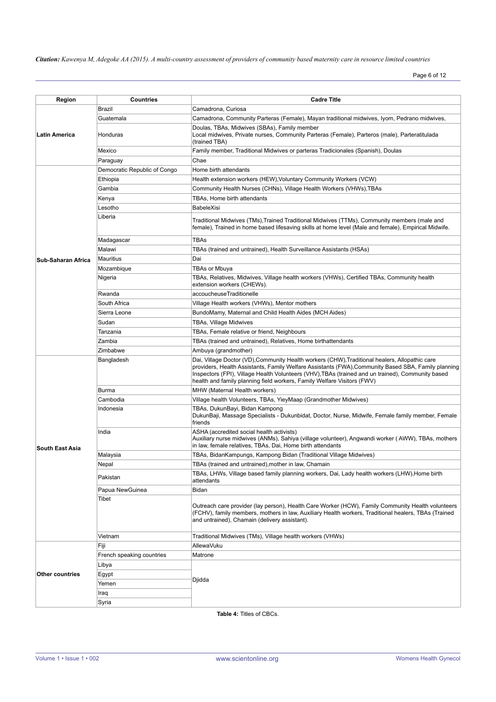Page 6 of 12

| Region                 | <b>Countries</b>             | <b>Cadre Title</b>                                                                                                                                                                                                                                                                                                                                                                    |
|------------------------|------------------------------|---------------------------------------------------------------------------------------------------------------------------------------------------------------------------------------------------------------------------------------------------------------------------------------------------------------------------------------------------------------------------------------|
|                        | Brazil                       | Camadrona, Curiosa                                                                                                                                                                                                                                                                                                                                                                    |
|                        | Guatemala                    | Camadrona, Community Parteras (Female), Mayan traditional midwives, Iyom, Pedrano midwives,                                                                                                                                                                                                                                                                                           |
| <b>Latin America</b>   | Honduras                     | Doulas, TBAs, Midwives (SBAs), Family member<br>Local midwives, Private nurses, Community Parteras (Female), Parteros (male), Parteratitulada<br>(trained TBA)                                                                                                                                                                                                                        |
|                        | Mexico                       | Family member, Traditional Midwives or parteras Tradicionales (Spanish), Doulas                                                                                                                                                                                                                                                                                                       |
|                        | Paraguay                     | Chae                                                                                                                                                                                                                                                                                                                                                                                  |
|                        | Democratic Republic of Congo | Home birth attendants                                                                                                                                                                                                                                                                                                                                                                 |
|                        | Ethiopia                     | Health extension workers (HEW), Voluntary Community Workers (VCW)                                                                                                                                                                                                                                                                                                                     |
|                        | Gambia                       | Community Health Nurses (CHNs), Village Health Workers (VHWs), TBAs                                                                                                                                                                                                                                                                                                                   |
|                        | Kenya                        | TBAs, Home birth attendants                                                                                                                                                                                                                                                                                                                                                           |
|                        | Lesotho                      | <b>BabeleXisi</b>                                                                                                                                                                                                                                                                                                                                                                     |
|                        | Liberia                      | Traditional Midwives (TMs),Trained Traditional Midwives (TTMs), Community members (male and<br>female), Trained in home based lifesaving skills at home level (Male and female), Empirical Midwife.                                                                                                                                                                                   |
|                        | Madagascar                   | TBAs                                                                                                                                                                                                                                                                                                                                                                                  |
|                        | Malawi                       | TBAs (trained and untrained), Health Surveillance Assistants (HSAs)                                                                                                                                                                                                                                                                                                                   |
| Sub-Saharan Africa     | Mauritius                    | Dai                                                                                                                                                                                                                                                                                                                                                                                   |
|                        | Mozambique                   | <b>TBAs or Mbuva</b>                                                                                                                                                                                                                                                                                                                                                                  |
|                        | Nigeria                      | TBAs, Relatives, Midwives, Village health workers (VHWs), Certified TBAs, Community health<br>extension workers (CHEWs).                                                                                                                                                                                                                                                              |
|                        | Rwanda                       | accoucheuseTraditionelle                                                                                                                                                                                                                                                                                                                                                              |
|                        | South Africa                 | Village Health workers (VHWs), Mentor mothers                                                                                                                                                                                                                                                                                                                                         |
|                        | Sierra Leone                 | BundoMamy, Maternal and Child Health Aides (MCH Aides)                                                                                                                                                                                                                                                                                                                                |
|                        | Sudan                        | TBAs, Village Midwives                                                                                                                                                                                                                                                                                                                                                                |
|                        | Tanzania                     | TBAs, Female relative or friend, Neighbours                                                                                                                                                                                                                                                                                                                                           |
|                        | Zambia                       | TBAs (trained and untrained), Relatives, Home birthattendants                                                                                                                                                                                                                                                                                                                         |
|                        | Zimbabwe                     | Ambuya (grandmother)                                                                                                                                                                                                                                                                                                                                                                  |
|                        | Bangladesh                   | Dai, Village Doctor (VD), Community Health workers (CHW), Traditional healers, Allopathic care<br>providers, Health Assistants, Family Welfare Assistants (FWA), Community Based SBA, Family planning<br>Inspectors (FPI), Village Health Volunteers (VHV), TBAs (trained and un trained), Community based<br>health and family planning field workers, Family Welfare Visitors (FWV) |
|                        | <b>Burma</b>                 | MHW (Maternal Health workers)                                                                                                                                                                                                                                                                                                                                                         |
|                        | Cambodia                     | Village health Volunteers, TBAs, YieyMaap (Grandmother Midwives)                                                                                                                                                                                                                                                                                                                      |
|                        | Indonesia                    | TBAs, DukunBayi, Bidan Kampong<br>DukunBaji, Massage Specialists - Dukunbidat, Doctor, Nurse, Midwife, Female family member, Female<br>friends                                                                                                                                                                                                                                        |
| <b>South East Asia</b> | India                        | ASHA (accredited social health activists)<br>Auxiliary nurse midwives (ANMs), Sahiya (village volunteer), Angwandi worker (AWW), TBAs, mothers<br>in law, female relatives, TBAs, Dai, Home birth attendants                                                                                                                                                                          |
|                        | Malaysia                     | TBAs, BidanKampungs, Kampong Bidan (Traditional Village Midwives)                                                                                                                                                                                                                                                                                                                     |
|                        | Nepal                        | TBAs (trained and untrained), mother in law, Chamain                                                                                                                                                                                                                                                                                                                                  |
|                        | Pakistan                     | TBAs, LHWs, Village based family planning workers, Dai, Lady health workers (LHW), Home birth<br>attendants                                                                                                                                                                                                                                                                           |
|                        | Papua NewGuinea              | Bidan                                                                                                                                                                                                                                                                                                                                                                                 |
|                        | Tibet                        | Outreach care provider (lay person), Health Care Worker (HCW), Family Community Health volunteers<br>(FCHV), family members, mothers in law, Auxiliary Health workers, Traditional healers, TBAs (Trained<br>and untrained), Chamain (delivery assistant).                                                                                                                            |
|                        | Vietnam                      | Traditional Midwives (TMs), Village health workers (VHWs)                                                                                                                                                                                                                                                                                                                             |
|                        | Fiji                         | AllewaVuku                                                                                                                                                                                                                                                                                                                                                                            |
|                        | French speaking countries    | Matrone                                                                                                                                                                                                                                                                                                                                                                               |
|                        | Libya                        |                                                                                                                                                                                                                                                                                                                                                                                       |
| <b>Other countries</b> | Egypt                        |                                                                                                                                                                                                                                                                                                                                                                                       |
|                        | Yemen                        | Djidda                                                                                                                                                                                                                                                                                                                                                                                |
|                        | Iraq                         |                                                                                                                                                                                                                                                                                                                                                                                       |
|                        | Syria                        |                                                                                                                                                                                                                                                                                                                                                                                       |

**Table 4:** Titles of CBCs.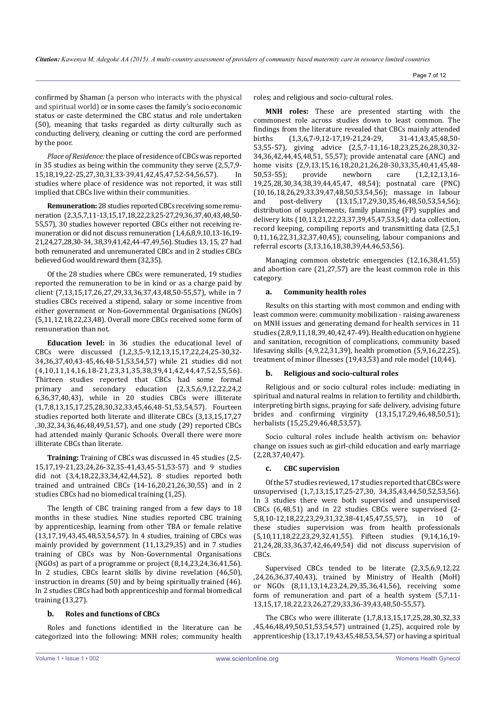confirmed by Shaman (a person who interacts with the physical and spiritual world) or in some cases the family's socio economic status or caste determined the CBC status and role undertaken (50), meaning that tasks regarded as dirty culturally such as conducting delivery, cleaning or cutting the cord are performed by the poor.

*Place of Residence:* the place of residence of CBCs was reported in 35 studies as being within the community they serve (2,5,7,9-<br>15 18 19 22-25 27 30 31 33-39 41 42 45 47 52-54 56 57) In 15,18,19,22-25,27,30,31,33-39,41,42,45,47,52-54,56,57). studies where place of residence was not reported, it was still implied that CBCs live within their communities.

**Remuneration:** 28 studies reported CBCs receiving some remuneration (2,3,5,7,11-13,15,17,18,22,23,25-27,29,36,37,40,43,48,50- 55,57), 30 studies however reported CBCs either not receiving remuneration or did not discuss remuneration (1,4,6,8,9,10,13-16,19- 21,24,27,28,30-34, 38,39,41,42,44-47,49,56). Studies 13, 15, 27 had both remunerated and unremunerated CBCs and in 2 studies CBCs believed God would reward them (32,35).

Of the 28 studies where CBCs were remunerated, 19 studies reported the remuneration to be in kind or as a charge paid by client (7,13,15,17,26,27,29,33,36,37,43,48,50-55,57), while in 7 studies CBCs received a stipend, salary or some incentive from either government or Non-Governmental Organisations (NGOs) (5,11,12,18,22,23,48). Overall more CBCs received some form of remuneration than not.

**Education level:** in 36 studies the educational level of CBCs were discussed (1,2,3,5-9,12,13,15,17,22,24,25-30,32- 34,36,37,40,43-45,46,48-51,53,54,57) while 21 studies did not (4,10,11,14,16,18-21,23,31,35,38,39,41,42,44,47,52,55,56). Thirteen studies reported that CBCs had some formal primary and secondary education (2,3,5,6,9,12,22,24,2 6,36,37,40,43), while in 20 studies CBCs were illiterate (1,7,8,13,15,17,25,28,30,32,33,45,46,48-51,53,54,57). Fourteen studies reported both literate and illiterate CBCs (3,13,15,17,27 ,30,32,34,36,46,48,49,51,57), and one study (29) reported CBCs had attended mainly Quranic Schools. Overall there were more illiterate CBCs than literate.

**Training:** Training of CBCs was discussed in 45 studies (2,5- 15,17,19-21,23,24,26-32,35-41,43,45-51,53-57) and 9 studies did not (3,4,18,22,33,34,42,44,52), 8 studies reported both trained and untrained CBCs (14-16,20,21,26,30,55) and in 2 studies CBCs had no biomedical training (1,25).

The length of CBC training ranged from a few days to 18 months in these studies. Nine studies reported CBC training by apprenticeship, learning from other TBA or female relative (13,17,19,43,45,48,53,54,57). In 4 studies, training of CBCs was mainly provided by government (11,13,29,35) and in 7 studies training of CBCs was by Non-Governmental Organisations (NGOs) as part of a programme or project (8,14,23,24,36,41,56). In 2 studies, CBCs learnt skills by divine revelation (46,50), instruction in dreams (50) and by being spiritually trained (46). In 2 studies CBCs had both apprenticeship and formal biomedical training (13,27).

#### **b. Roles and functions of CBCs**

Roles and functions identified in the literature can be categorized into the following: MNH roles; community health roles; and religious and socio-cultural roles.

**MNH roles:** These are presented starting with the commonest role across studies down to least common. The findings from the literature revealed that CBCs mainly attended<br>births (1.3.6,7-9,12-17,19-21,24-29, 31-41,43,45,48,50- $(1,3,6,7-9,12-17,19-21,24-29,$ 53,55-57), giving advice (2,5,7-11,16-18,23,25,26,28,30,32- 34,36,42,44,45,48,51, 55,57); provide antenatal care (ANC) and home visits (2,9,13,15,16,18,20,21,26,28-30,33,35,40,41,45,48-<br>50,53-55); provide newborn care (1,2,12,13,16-50,53-55); provide newborn care (1,2,12,13,16- 19,25,28,30,34,38,39,44,45,47, 48,54); postnatal care (PNC) (10,16,18,26,29,33,39,47,48,50,53,54,56); massage in labour<br>and post-delivery (13,15,17,29,30,35,46,48,50,53,54,56);  $(13,15,17,29,30,35,46,48,50,53,54,56);$ distribution of supplements, family planning (FP) supplies and delivery kits (10,13,21,22,23,37,39,45,47,53,54); data collection, record keeping, compiling reports and transmitting data (2,5,1 0,11,16,22,31,32,37,40,45); counseling, labour companions and referral escorts (3,13,16,18,38,39,44,46,53,56).

Managing common obstetric emergencies (12,16,38,41,55) and abortion care (21,27,57) are the least common role in this category.

### **a. Community health roles**

Results on this starting with most common and ending with least common were: community mobilization - raising awareness on MNH issues and generating demand for health services in 11 studies (2,8,9,11,18,39,40,42,47-49). Health education on hygiene and sanitation, recognition of complications, community based lifesaving skills (4,9,22,31,39), health promotion (5,9,16,22,25), treatment of minor illnesses (19,43,53) and role model (10,44).

#### **b. Religious and socio-cultural roles**

Religious and or socio cultural roles include: mediating in spiritual and natural realms in relation to fertility and childbirth, interpreting birth signs, praying for safe delivery, advising future brides and confirming virginity (13,15,17,29,46,48,50,51); herbalists (15,25,29,46,48,53,57).

Socio cultural roles include health activism on: behavior change on issues such as girl-child education and early marriage (2,28,37,40,47).

#### **c. CBC supervision**

Of the 57 studies reviewed, 17 studies reported that CBCs were unsupervised (1,7,13,15,17,25-27,30, 34,35,43,44,50,52,53,56). In 3 studies there were both supervised and unsupervised CBCs (6,48,51) and in 22 studies CBCs were supervised (2-<br>5.8.10-12.18.22.23.29.31.32.38-41.45.47.55.57) in 10 of 5,8,10-12,18,22,23,29,31,32,38-41,45,47,55,57), in 10 these studies supervision was from health professionals (5,10,11,18,22,23,29,32,41,55). Fifteen studies (9,14,16,19- 21,24,28,33,36,37,42,46,49,54) did not discuss supervision of CBCs.

Supervised CBCs tended to be literate (2,3,5,6,9,12,22 ,24,26,36,37,40,43), trained by Ministry of Health (MoH) or NGOs (8,11,13,14,23,24,29,35,36,41,56), receiving some form of remuneration and part of a health system (5,7,11- 13,15,17,18,22,23,26,27,29,33,36-39,43,48,50-55,57).

The CBCs who were illiterate (1,7,8,13,15,17,25,28,30,32,33 ,45,46,48,49,50,51,53,54,57) untrained (1,25), acquired role by apprenticeship (13,17,19,43,45,48,53,54,57) or having a spiritual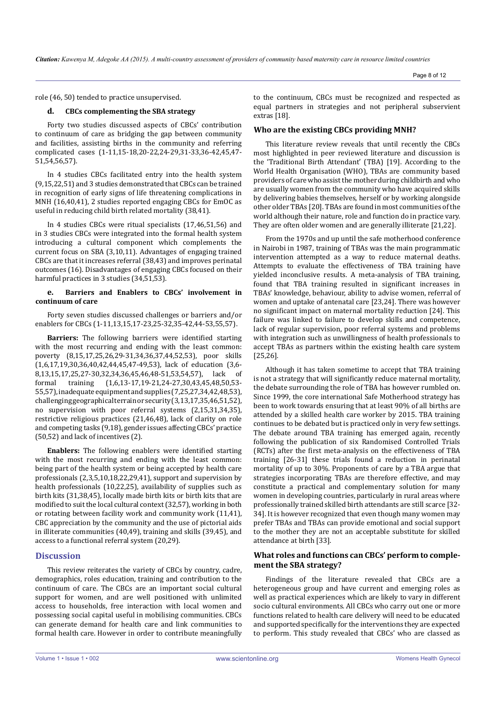role (46, 50) tended to practice unsupervised.

## **d. CBCs complementing the SBA strategy**

Forty two studies discussed aspects of CBCs' contribution to continuum of care as bridging the gap between community and facilities, assisting births in the community and referring complicated cases (1-11,15-18,20-22,24-29,31-33,36-42,45,47- 51,54,56,57).

In 4 studies CBCs facilitated entry into the health system (9,15,22,51) and 3 studies demonstrated that CBCs can be trained in recognition of early signs of life threatening complications in MNH (16,40,41), 2 studies reported engaging CBCs for EmOC as useful in reducing child birth related mortality (38,41).

In 4 studies CBCs were ritual specialists (17,46,51,56) and in 3 studies CBCs were integrated into the formal health system introducing a cultural component which complements the current focus on SBA (3,10,11). Advantages of engaging trained CBCs are that it increases referral (38,43) and improves perinatal outcomes (16). Disadvantages of engaging CBCs focused on their harmful practices in 3 studies (34,51,53).

## **e. Barriers and Enablers to CBCs' involvement in continuum of care**

Forty seven studies discussed challenges or barriers and/or enablers for CBCs (1-11,13,15,17-23,25-32,35-42,44-53,55,57).

**Barriers:** The following barriers were identified starting with the most recurring and ending with the least common: poverty (8,15,17,25,26,29-31,34,36,37,44,52,53), poor skills (1,6,17,19,30,36,40,42,44,45,47-49,53), lack of education (3,6-<br>8.13.15.17.25.27-30.32.34.36.45.46.48-51.53.54.57). lack of 8,13,15,17,25,27-30,32,34,36,45,46,48-51,53,54,57), lack<br>formal training (1,6,13-17,19-21,24-27,30,43,45,48,50 formal training (1,6,13-17,19-21,24-27,30,43,45,48,50,53- 55,57), inadequate equipment and supplies (7,25,27,34,42,48,53), challenging geographical terrain or security (3,13,17,35,46,51,52), no supervision with poor referral systems (2,15,31,34,35), restrictive religious practices (21,46,48), lack of clarity on role and competing tasks (9,18), gender issues affecting CBCs' practice (50,52) and lack of incentives (2).

**Enablers:** The following enablers were identified starting with the most recurring and ending with the least common: being part of the health system or being accepted by health care professionals (2,3,5,10,18,22,29,41), support and supervision by health professionals (10,22,25), availability of supplies such as birth kits (31,38,45), locally made birth kits or birth kits that are modified to suit the local cultural context (32,57), working in both or rotating between facility work and community work (11,41), CBC appreciation by the community and the use of pictorial aids in illiterate communities (40,49), training and skills (39,45), and access to a functional referral system (20,29).

## **Discussion**

This review reiterates the variety of CBCs by country, cadre, demographics, roles education, training and contribution to the continuum of care. The CBCs are an important social cultural support for women, and are well positioned with unlimited access to households, free interaction with local women and possessing social capital useful in mobilising communities. CBCs can generate demand for health care and link communities to formal health care. However in order to contribute meaningfully to the continuum, CBCs must be recognized and respected as equal partners in strategies and not peripheral subservient extras [18].

## **Who are the existing CBCs providing MNH?**

This literature review reveals that until recently the CBCs most highlighted in peer reviewed literature and discussion is the 'Traditional Birth Attendant' (TBA) [19]. According to the World Health Organisation (WHO), TBAs are community based providers of care who assist the mother during childbirth and who are usually women from the community who have acquired skills by delivering babies themselves, herself or by working alongside other older TBAs [20]. TBAs are found in most communities of the world although their nature, role and function do in practice vary. They are often older women and are generally illiterate [21,22].

From the 1970s and up until the safe motherhood conference in Nairobi in 1987, training of TBAs was the main programmatic intervention attempted as a way to reduce maternal deaths. Attempts to evaluate the effectiveness of TBA training have yielded inconclusive results. A meta-analysis of TBA training, found that TBA training resulted in significant increases in TBAs' knowledge, behaviour, ability to advise women, referral of women and uptake of antenatal care [23,24]. There was however no significant impact on maternal mortality reduction [24]. This failure was linked to failure to develop skills and competence, lack of regular supervision, poor referral systems and problems with integration such as unwillingness of health professionals to accept TBAs as partners within the existing health care system [25,26].

Although it has taken sometime to accept that TBA training is not a strategy that will significantly reduce maternal mortality, the debate surrounding the role of TBA has however rumbled on. Since 1999, the core international Safe Motherhood strategy has been to work towards ensuring that at least 90% of all births are attended by a skilled health care worker by 2015. TBA training continues to be debated but is practiced only in very few settings. The debate around TBA training has emerged again, recently following the publication of six Randomised Controlled Trials (RCTs) after the first meta-analysis on the effectiveness of TBA training [26-31] these trials found a reduction in perinatal mortality of up to 30%. Proponents of care by a TBA argue that strategies incorporating TBAs are therefore effective, and may constitute a practical and complementary solution for many women in developing countries, particularly in rural areas where professionally trained skilled birth attendants are still scarce [32- 34]. It is however recognized that even though many women may prefer TBAs and TBAs can provide emotional and social support to the mother they are not an acceptable substitute for skilled attendance at birth [33].

## **What roles and functions can CBCs' perform to complement the SBA strategy?**

Findings of the literature revealed that CBCs are a heterogeneous group and have current and emerging roles as well as practical experiences which are likely to vary in different socio cultural environments. All CBCs who carry out one or more functions related to health care delivery will need to be educated and supported specifically for the interventions they are expected to perform. This study revealed that CBCs' who are classed as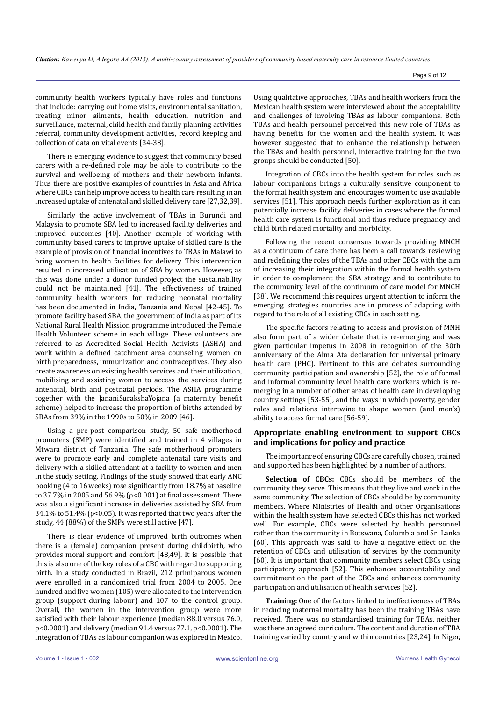community health workers typically have roles and functions that include: carrying out home visits, environmental sanitation, treating minor ailments, health education, nutrition and surveillance, maternal, child health and family planning activities referral, community development activities, record keeping and collection of data on vital events [34-38].

There is emerging evidence to suggest that community based carers with a re-defined role may be able to contribute to the survival and wellbeing of mothers and their newborn infants. Thus there are positive examples of countries in Asia and Africa where CBCs can help improve access to health care resulting in an increased uptake of antenatal and skilled delivery care [27,32,39].

Similarly the active involvement of TBAs in Burundi and Malaysia to promote SBA led to increased facility deliveries and improved outcomes [40]. Another example of working with community based carers to improve uptake of skilled care is the example of provision of financial incentives to TBAs in Malawi to bring women to health facilities for delivery. This intervention resulted in increased utilisation of SBA by women. However, as this was done under a donor funded project the sustainability could not be maintained [41]. The effectiveness of trained community health workers for reducing neonatal mortality has been documented in India, Tanzania and Nepal [42-45]. To promote facility based SBA, the government of India as part of its National Rural Health Mission programme introduced the Female Health Volunteer scheme in each village. These volunteers are referred to as Accredited Social Health Activists (ASHA) and work within a defined catchment area counseling women on birth preparedness, immunization and contraceptives. They also create awareness on existing health services and their utilization, mobilising and assisting women to access the services during antenatal, birth and postnatal periods. The ASHA programme together with the JananiSurakshaYojana (a maternity benefit scheme) helped to increase the proportion of births attended by SBAs from 39% in the 1990s to 50% in 2009 [46].

Using a pre-post comparison study, 50 safe motherhood promoters (SMP) were identified and trained in 4 villages in Mtwara district of Tanzania. The safe motherhood promoters were to promote early and complete antenatal care visits and delivery with a skilled attendant at a facility to women and men in the study setting. Findings of the study showed that early ANC booking (4 to 16 weeks) rose significantly from 18.7% at baseline to 37.7% in 2005 and 56.9% ( $ρ < 0.001$ ) at final assessment. There was also a significant increase in deliveries assisted by SBA from 34.1% to 51.4% ( $\rho$ <0.05). It was reported that two years after the study, 44 (88%) of the SMPs were still active [47].

There is clear evidence of improved birth outcomes when there is a (female) companion present during childbirth, who provides moral support and comfort [48,49]. It is possible that this is also one of the key roles of a CBC with regard to supporting birth. In a study conducted in Brazil, 212 primiparous women were enrolled in a randomized trial from 2004 to 2005. One hundred and five women (105) were allocated to the intervention group (support during labour) and 107 to the control group. Overall, the women in the intervention group were more satisfied with their labour experience (median 88.0 versus 76.0, p<0.0001) and delivery (median 91.4 versus 77.1, p<0.0001). The integration of TBAs as labour companion was explored in Mexico.

Using qualitative approaches, TBAs and health workers from the Mexican health system were interviewed about the acceptability and challenges of involving TBAs as labour companions. Both TBAs and health personnel perceived this new role of TBAs as having benefits for the women and the health system. It was however suggested that to enhance the relationship between the TBAs and health personnel, interactive training for the two groups should be conducted [50].

Integration of CBCs into the health system for roles such as labour companions brings a culturally sensitive component to the formal health system and encourages women to use available services [51]. This approach needs further exploration as it can potentially increase facility deliveries in cases where the formal health care system is functional and thus reduce pregnancy and child birth related mortality and morbidity.

Following the recent consensus towards providing MNCH as a continuum of care there has been a call towards reviewing and redefining the roles of the TBAs and other CBCs with the aim of increasing their integration within the formal health system in order to complement the SBA strategy and to contribute to the community level of the continuum of care model for MNCH [38]. We recommend this requires urgent attention to inform the emerging strategies countries are in process of adapting with regard to the role of all existing CBCs in each setting.

The specific factors relating to access and provision of MNH also form part of a wider debate that is re-emerging and was given particular impetus in 2008 in recognition of the 30th anniversary of the Alma Ata declaration for universal primary health care (PHC). Pertinent to this are debates surrounding community participation and ownership [52], the role of formal and informal community level health care workers which is remerging in a number of other areas of health care in developing country settings [53-55], and the ways in which poverty, gender roles and relations intertwine to shape women (and men's) ability to access formal care [56-59].

# **Appropriate enabling environment to support CBCs and implications for policy and practice**

The importance of ensuring CBCs are carefully chosen, trained and supported has been highlighted by a number of authors.

**Selection of CBCs:** CBCs should be me*m*bers of the community they serve. This means that they live and work in the same community. The selection of CBCs should be by community members. Where Ministries of Health and other Organisations within the health system have selected CBCs this has not worked well. For example, CBCs were selected by health personnel rather than the community in Botswana, Colombia and Sri Lanka [60]. This approach was said to have a negative effect on the retention of CBCs and utilisation of services by the community [60]. It is important that community members select CBCs using participatory approach [52]. This enhances accountability and commitment on the part of the CBCs and enhances community participation and utilisation of health services [52].

**Training:** One of the factors linked to ineffectiveness of TBAs in reducing maternal mortality has been the training TBAs have received. There was no standardised training for TBAs, neither was there an agreed curriculum. The content and duration of TBA training varied by country and within countries [23,24]. In Niger,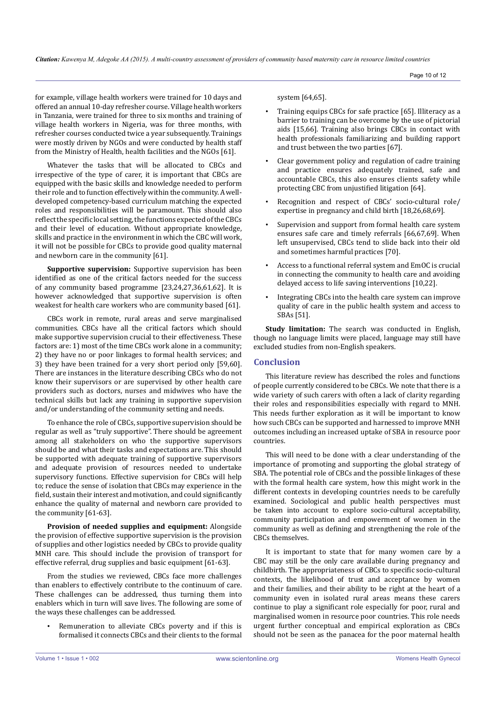Page 10 of 12

for example, village health workers were trained for 10 days and offered an annual 10-day refresher course. Village health workers in Tanzania, were trained for three to six months and training of village health workers in Nigeria, was for three months, with refresher courses conducted twice a year subsequently. Trainings were mostly driven by NGOs and were conducted by health staff from the Ministry of Health, health facilities and the NGOs [61].

Whatever the tasks that will be allocated to CBCs and irrespective of the type of carer, it is important that CBCs are equipped with the basic skills and knowledge needed to perform their role and to function effectively within the community. A welldeveloped competency-based curriculum matching the expected roles and responsibilities will be paramount. This should also reflect the specific local setting, the functions expected of the CBCs and their level of education. Without appropriate knowledge, skills and practice in the environment in which the CBC will work, it will not be possible for CBCs to provide good quality maternal and newborn care in the community [61].

**Supportive supervision:** Supportive supervision has been identified as one of the critical factors needed for the success of any community based programme [23,24,27,36,61,62]. It is however acknowledged that supportive supervision is often weakest for health care workers who are community based [61].

CBCs work in remote, rural areas and serve marginalised communities. CBCs have all the critical factors which should make supportive supervision crucial to their effectiveness. These factors are: 1) most of the time CBCs work alone in a community; 2) they have no or poor linkages to formal health services; and 3) they have been trained for a very short period only [59,60]. There are instances in the literature describing CBCs who do not know their supervisors or are supervised by other health care providers such as doctors, nurses and midwives who have the technical skills but lack any training in supportive supervision and/or understanding of the community setting and needs.

To enhance the role of CBCs, supportive supervision should be regular as well as "truly supportive". There should be agreement among all stakeholders on who the supportive supervisors should be and what their tasks and expectations are. This should be supported with adequate training of supportive supervisors and adequate provision of resources needed to undertake supervisory functions. Effective supervision for CBCs will help to; reduce the sense of isolation that CBCs may experience in the field, sustain their interest and motivation, and could significantly enhance the quality of maternal and newborn care provided to the community [61-63].

**Provision of needed supplies and equipment:** Alongside the provision of effective supportive supervision is the provision of supplies and other logistics needed by CBCs to provide quality MNH care. This should include the provision of transport for effective referral, drug supplies and basic equipment [61-63].

From the studies we reviewed, CBCs face more challenges than enablers to effectively contribute to the continuum of care. These challenges can be addressed, thus turning them into enablers which in turn will save lives. The following are some of the ways these challenges can be addressed.

Remuneration to alleviate CBCs poverty and if this is formalised it connects CBCs and their clients to the formal system [64,65].

- Training equips CBCs for safe practice [65]. Illiteracy as a barrier to training can be overcome by the use of pictorial aids [15,66]. Training also brings CBCs in contact with health professionals familiarizing and building rapport and trust between the two parties [67].
- Clear government policy and regulation of cadre training and practice ensures adequately trained, safe and accountable CBCs, this also ensures clients safety while protecting CBC from unjustified litigation [64].
- Recognition and respect of CBCs' socio-cultural role/ expertise in pregnancy and child birth [18,26,68,69].
- Supervision and support from formal health care system ensures safe care and timely referrals [66,67,69]. When left unsupervised, CBCs tend to slide back into their old and sometimes harmful practices [70].
- Access to a functional referral system and EmOC is crucial in connecting the community to health care and avoiding delayed access to life saving interventions [10,22].
- Integrating CBCs into the health care system can improve quality of care in the public health system and access to SBAs [51].

**Study limitation:** The search was conducted in English, though no language limits were placed, language may still have excluded studies from non-English speakers.

# **Conclusion**

This literature review has described the roles and functions of people currently considered to be CBCs. We note that there is a wide variety of such carers with often a lack of clarity regarding their roles and responsibilities especially with regard to MNH. This needs further exploration as it will be important to know how such CBCs can be supported and harnessed to improve MNH outcomes including an increased uptake of SBA in resource poor countries.

This will need to be done with a clear understanding of the importance of promoting and supporting the global strategy of SBA. The potential role of CBCs and the possible linkages of these with the formal health care system, how this might work in the different contexts in developing countries needs to be carefully examined. Sociological and public health perspectives must be taken into account to explore socio-cultural acceptability, community participation and empowerment of women in the community as well as defining and strengthening the role of the CBCs themselves.

It is important to state that for many women care by a CBC may still be the only care available during pregnancy and childbirth. The appropriateness of CBCs to specific socio-cultural contexts, the likelihood of trust and acceptance by women and their families, and their ability to be right at the heart of a community even in isolated rural areas means these carers continue to play a significant role especially for poor, rural and marginalised women in resource poor countries. This role needs urgent further conceptual and empirical exploration as CBCs should not be seen as the panacea for the poor maternal health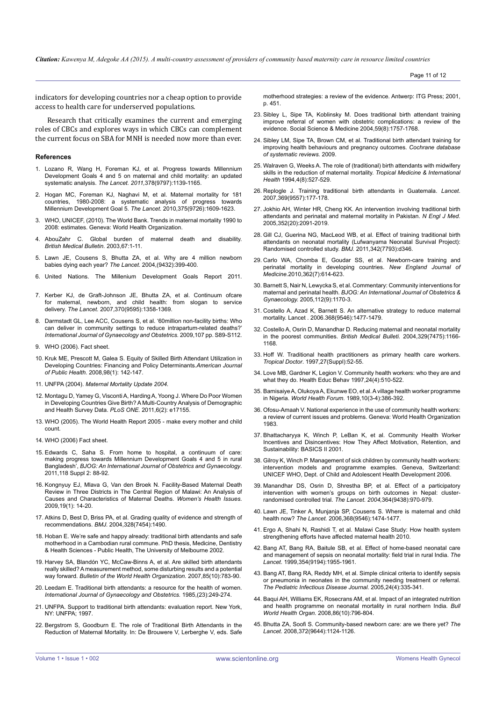Page 11 of 12

indicators for developing countries nor a cheap option to provide access to health care for underserved populations.

Research that critically examines the current and emerging roles of CBCs and explores ways in which CBCs can complement the current focus on SBA for MNH is needed now more than ever.

#### **References**

- 1. [Lozano R, Wang H, Foreman KJ, et al. Progress towards Millennium](http://www.ncbi.nlm.nih.gov/pubmed/21937100) [Development Goals 4 and 5 on maternal and child mortality: an updated](http://www.ncbi.nlm.nih.gov/pubmed/21937100)  systematic analysis. *The Lancet. 2011,*[378\(9797\):1139-1165.](http://www.ncbi.nlm.nih.gov/pubmed/21937100)
- 2. [Hogan MC, Foreman KJ, Naghavi M, et al. Maternal mortality for 181](http://www.ncbi.nlm.nih.gov/pubmed/20382417) [countries, 1980-2008: a systematic analysis of progress towards](http://www.ncbi.nlm.nih.gov/pubmed/20382417) [Millennium Development Goal 5.](http://www.ncbi.nlm.nih.gov/pubmed/20382417) *The Lancet.* 2010,375(9726):1609-1623.
- 3. [WHO, UNICEF, \(2010\). The World Bank. Trends in maternal mortality 1990 to](http://www.who.int/reproductivehealth/publications/monitoring/9789241500265/en/) [2008: estimates. Geneva: World Health Organization.](http://www.who.int/reproductivehealth/publications/monitoring/9789241500265/en/)
- 4. [AbouZahr C. Global burden of maternal death and disability.](http://bmb.oxfordjournals.org/content/67/1/1.full.pdf) *[British Medical Bulletin.](http://bmb.oxfordjournals.org/content/67/1/1.full.pdf)* 2003,67:1-11.
- [Lawn JE, Cousens S, Bhutta ZA, et al. Why are 4 million newborn](http://www.who.int/child_adolescent.../lancet_neonatal_survival_paper4.pdf) [babies dying each year?](http://www.who.int/child_adolescent.../lancet_neonatal_survival_paper4.pdf) *The Lancet.* 2004,(9432):399-400.
- 6. [United Nations. The Millenium Development Goals Report 2011.](http://www.un.org/millenniumgoals/11_MDG Report_EN.pdf)
- 7. [Kerber KJ, de Graft-Johnson JE, Bhutta ZA, et al. Continuum ofcare](http://www.health-policy-systems.com/pubmed/related/17506872)  [for maternal, newborn, and child health: from slogan to service](http://www.health-policy-systems.com/pubmed/related/17506872) delivery. *The Lancet.* [2007,370\(9595\):1358-1369.](http://www.health-policy-systems.com/pubmed/related/17506872)
- 8. Darmstadt GL, Lee ACC, Cousens S, et al. '60million non-facility births: Who can deliver in community settings to reduce intrapartum-related deaths?' *International Journal of Gynaecology and Obstetrics.* 2009,107 pp. S89-S112.
- 9. [WHO \(2006\). Fact sheet.](http://www.who.int/reproductivehealth/topics/mdgs/skilled_attendant_at_birth2006.pdf accessed 18/07/12)
- 10. [Kruk ME, Prescott M, Galea S. Equity of Skilled Birth Attendant Utilization in](http://www.ncbi.nlm.nih.gov/pmc/articles/PMC2156044/)  [Developing Countries: Financing and Policy Determinants.](http://www.ncbi.nlm.nih.gov/pmc/articles/PMC2156044/)*American Journal of Public Health.* [2008,98\(1\): 142-147.](http://www.ncbi.nlm.nih.gov/pmc/articles/PMC2156044/)
- 11. UNFPA (2004). *[Maternal Mortality Update 2004.](http://www.unfpa.org/public/publications/pid/2049.)*
- 12. [Montagu D, Yamey G, Visconti A, Harding A, Yoong J. Where Do Poor Women](http://catalog.ihsn.org/index.php/citations/5583)  [in Developing Countries Give Birth? A Multi-Country Analysis of Demographic](http://catalog.ihsn.org/index.php/citations/5583)  [and Health Survey Data.](http://catalog.ihsn.org/index.php/citations/5583) *PLoS ONE.* 2011,6(2): e17155.
- 13. [WHO \(2005\). The World Health Report 2005 make every mother and child](http://www.who.int/whr/2005/en/)  [count.](http://www.who.int/whr/2005/en/)
- 14. [WHO \(2006\) Fact sheet.](http://www.who.int/reproductivehealth/topics/mdgs/skilled_attendant_at_birth2006.pdf accessed 18/07/12)
- 15. [Edwards C, Saha S. From home to hospital, a continuum of care:](http://www.ncbi.nlm.nih.gov/pubmed/21951506)  [making progress towards Millennium Development Goals 4 and 5 in rural](http://www.ncbi.nlm.nih.gov/pubmed/21951506)  Bangladesh', *[BJOG: An International Journal of Obstetrics and Gynaecology](http://www.ncbi.nlm.nih.gov/pubmed/21951506)*. [2011,118 Suppl 2: 88-92.](http://www.ncbi.nlm.nih.gov/pubmed/21951506)
- 16. [Kongnyuy EJ, Mlava G, Van den Broek N. Facility-Based Maternal Death](http://www.ncbi.nlm.nih.gov/pubmed/19111783)  [Review in Three Districts in The Central Region of Malawi: An Analysis of](http://www.ncbi.nlm.nih.gov/pubmed/19111783)  [Causes and Characteristics of Maternal Deaths.](http://www.ncbi.nlm.nih.gov/pubmed/19111783) *Women's Health Issues*. [2009,19\(1\): 14-20.](http://www.ncbi.nlm.nih.gov/pubmed/19111783)
- 17. [Atkins D, Best D, Briss PA, et al. Grading quality of evidence and strength of](http://www.ncbi.nlm.nih.gov/pubmed/15205295)  recommendations. *BMJ*[. 2004,328\(7454\):1490.](http://www.ncbi.nlm.nih.gov/pubmed/15205295)
- 18. [Hoban E. We're safe and happy already: traditional birth attendants and safe](https://minerva-access.unimelb.edu.au/handle/11343/35441)  [motherhood in a Cambodian rural commune. PhD thesis, Medicine, Dentistry](https://minerva-access.unimelb.edu.au/handle/11343/35441)  [& Health Sciences - Public Health, The University of Melbourne 2002.](https://minerva-access.unimelb.edu.au/handle/11343/35441)
- 19. [Harvey SA, Blandón YC, McCaw-Binns A, et al. Are skilled birth attendants](http://www.urc-chs.com/resource?ResourceID=280)  [really skilled? A measurement method, some disturbing results and a potential](http://www.urc-chs.com/resource?ResourceID=280)  way forward. *[Bulletin of the World Health Organization.](http://www.urc-chs.com/resource?ResourceID=280)* 2007,85(10):783-90.
- 20. [Leedam E. Traditional birth attendants: a resource for the health of women.](http://www.ncbi.nlm.nih.gov/pubmed/2866113)  *[International Journal of Gynaecology and Obstetrics.](http://www.ncbi.nlm.nih.gov/pubmed/2866113)* 1985,(23):249-274.
- 21. [UNFPA. Support to traditional birth attendants: evaluation report. New York,](http://www.unfpa.org/monitoring/pdf/n-issue7.pdf)  [NY: UNFPA; 1997.](http://www.unfpa.org/monitoring/pdf/n-issue7.pdf)
- 22. [Bergstrom S, Goodburn E. The role of Traditional Birth Attendants in the](http://www.jsieurope.org/safem/collect/safem/pdf/s2933e/s2933e.pdf)  [Reduction of Maternal Mortality. In: De Brouwere V, Lerberghe V, eds. Safe](http://www.jsieurope.org/safem/collect/safem/pdf/s2933e/s2933e.pdf)

[motherhood strategies: a review of the evidence. Antwerp: ITG Press; 2001,](http://www.jsieurope.org/safem/collect/safem/pdf/s2933e/s2933e.pdf)  [p. 451.](http://www.jsieurope.org/safem/collect/safem/pdf/s2933e/s2933e.pdf)

- 23. [Sibley L, Sipe TA, Koblinsky M. Does traditional birth attendant training](http://www.ncbi.nlm.nih.gov/pubmed/15279931)  [improve referral of women with obstetric complications: a review of the](http://www.ncbi.nlm.nih.gov/pubmed/15279931)  [evidence. Social Science & Medicine 2004,59\(8\):1757-1768.](http://www.ncbi.nlm.nih.gov/pubmed/15279931)
- 24. [Sibley LM, Sipe TA, Brown CM, et al. Traditional birth attendant training for](http://onlinelibrary.wiley.com.ezproxy.liv.ac.uk/doi/10.1002/14651858.CD005460.pub2/abstract)  [improving health behaviours and pregnancy outcomes.](http://onlinelibrary.wiley.com.ezproxy.liv.ac.uk/doi/10.1002/14651858.CD005460.pub2/abstract) *Cochrane database [of systematic reviews.](http://onlinelibrary.wiley.com.ezproxy.liv.ac.uk/doi/10.1002/14651858.CD005460.pub2/abstract)* 2009.
- 25. [Walraven G, Weeks A. The role of \(traditional\) birth attendants with midwifery](http://onlinelibrary.wiley.com/doi/10.1046/j.1365-3156.1999.00441.x/pdf)  [skills in the reduction of maternal mortality.](http://onlinelibrary.wiley.com/doi/10.1046/j.1365-3156.1999.00441.x/pdf) *Tropical Medicine & International Health* [1994,4\(8\):527-529.](http://onlinelibrary.wiley.com/doi/10.1046/j.1365-3156.1999.00441.x/pdf)
- 26. [Replogle J. Training traditional birth attendants in Guatemala.](http://www.ncbi.nlm.nih.gov/pubmed/17243207) *Lancet*. [2007,369\(9557\):177-178.](http://www.ncbi.nlm.nih.gov/pubmed/17243207)
- 27. [Jokhio AH, Winter HR, Cheng KK. An intervention involving traditional birth](http://www.ncbi.nlm.nih.gov/pubmed/15901862)  [attendants and perinatal and maternal mortality in Pakistan.](http://www.ncbi.nlm.nih.gov/pubmed/15901862) *N Engl J Med.*  [2005,352\(20\):2091-2019.](http://www.ncbi.nlm.nih.gov/pubmed/15901862)
- 28. [Gill CJ, Guerina NG, MacLeod WB, et al. Effect of training traditional birth](http://www.bmj.com/content/342/7793)  [attendants on neonatal mortality \(Lufwanyama Neonatal Survival Project\):](http://www.bmj.com/content/342/7793)  [Randomised controlled study.](http://www.bmj.com/content/342/7793) *BMJ.* 2011,342(7793):d346.
- 29. [Carlo WA, Chomba E, Goudar SS, et al. Newborn-care training and](http://www.ncbi.nlm.nih.gov/pubmed/20164485)  [perinatal mortality in developing countries.](http://www.ncbi.nlm.nih.gov/pubmed/20164485) *New England Journal of Medicine.*[2010,362\(7\):614-623.](http://www.ncbi.nlm.nih.gov/pubmed/20164485)
- 30. [Barnett S, Nair N, Lewycka S, et al. Commentary: Community interventions for](http://www.ncbi.nlm.nih.gov/pubmed/16101591)  maternal and perinatal health. *[BJOG: An International Journal of Obstetrics &](http://www.ncbi.nlm.nih.gov/pubmed/16101591)  Gynaecology.* [2005,112\(9\):1170-3.](http://www.ncbi.nlm.nih.gov/pubmed/16101591)
- 31. [Costello A, Azad K, Barnett S. An alternative strategy to reduce maternal](http://www.ncbi.nlm.nih.gov/pubmed/17071268)  [mortality. Lancet . 2006.368\(9546\):1477-1479.](http://www.ncbi.nlm.nih.gov/pubmed/17071268)
- 32. [Costello A, Osrin D, Manandhar D. Reducing maternal and neonatal mortality](http://www.bmj.com/content/329/7475/1166)  [in the poorest communities.](http://www.bmj.com/content/329/7475/1166) *British Medical Bulleti.* 2004,329(7475):1166- [1168.](http://www.bmj.com/content/329/7475/1166)
- 33. [Hoff W. Traditional health practitioners as primary health care workers.](http://www.ncbi.nlm.nih.gov/pubmed/9204727)  *Tropical Doctor*[. 1997,27\(Suppl\):52-55.](http://www.ncbi.nlm.nih.gov/pubmed/9204727)
- 34. [Love MB, Gardner K, Legion V. Community health workers: who they are and](http://www.ncbi.nlm.nih.gov/pubmed/9247828)  [what they do. Health Educ Behav 1997,24\(4\):510-522](http://www.ncbi.nlm.nih.gov/pubmed/9247828).
- 35. [Bamisaiye A, Olukoya A, Ekunwe EO, et al. A village health worker programme](http://whqlibdoc.who.int/whf/1989/vol10-no3-4/WHF_1989_10%283-4%29_p386-392.pdf)  in Nigeria. *World Health Forum.* [1989,10\(3-4\):386-392.](http://whqlibdoc.who.int/whf/1989/vol10-no3-4/WHF_1989_10%283-4%29_p386-392.pdf)
- 36. [Ofosu-Amaah V. National experience in the use of community health workers:](http://whqlibdoc.who.int/offset/WHO_OFFSET_71.pdf)  [a review of current issues and problems. Geneva: World Health Organization](http://whqlibdoc.who.int/offset/WHO_OFFSET_71.pdf)  [1983.](http://whqlibdoc.who.int/offset/WHO_OFFSET_71.pdf)
- 37. [Bhattacharyya K, Winch P, LeBan K, et al. Community Health Worker](http://pdf.usaid.gov/pdf_docs/PNACQ722.pdf)  [Incentives and Disincentives: How They Affect Motivation, Retention, and](http://pdf.usaid.gov/pdf_docs/PNACQ722.pdf)  [Sustainability: BASICS II 2001.](http://pdf.usaid.gov/pdf_docs/PNACQ722.pdf)
- 38. [Gilroy K, Winch P. Management of sick children by community health workers:](http://www.unicef.org/publications/files/Management_of_Sick_Children_by_Community_Health_Workers.pdf)  [intervention models and programme examples. Geneva, Switzerland:](http://www.unicef.org/publications/files/Management_of_Sick_Children_by_Community_Health_Workers.pdf)  [UNICEF WHO, Dept. of Child and Adolescent Health Development 2006.](http://www.unicef.org/publications/files/Management_of_Sick_Children_by_Community_Health_Workers.pdf)
- 39. [Manandhar DS, Osrin D, Shrestha BP, et al. Effect of a participatory](http://www.who.int/rpc/meetings/LancetManandhar.pdf)  [intervention with women's groups on birth outcomes in Nepal: cluster](http://www.who.int/rpc/meetings/LancetManandhar.pdf)[randomised controlled trial.](http://www.who.int/rpc/meetings/LancetManandhar.pdf) *The Lancet. 2004,*364(9438):970-979.
- 40. [Lawn JE, Tinker A, Munjanja SP, Cousens S. Where is maternal and child](http://www.ncbi.nlm.nih.gov/pubmed/17071267)  health now? *The Lancet.* [2006,368\(9546\):1474-1477.](http://www.ncbi.nlm.nih.gov/pubmed/17071267)
- 41. [Ergo A, Shahi N, Rashidi T, et al. Malawi Case Study: How health system](http://www.mchip.net/sites/default/files/Malawi_CaseStudy_final.pdf.)  [strengthening efforts have affected maternal health 2010.](http://www.mchip.net/sites/default/files/Malawi_CaseStudy_final.pdf.)
- 42. [Bang AT, Bang RA, Baitule SB, et al. Effect of home-based neonatal care](http://www.ncbi.nlm.nih.gov/pubmed/10622298)  [and management of sepsis on neonatal mortality: field trial in rural India.](http://www.ncbi.nlm.nih.gov/pubmed/10622298) *The Lancet*[. 1999,354\(9194\):1955-1961.](http://www.ncbi.nlm.nih.gov/pubmed/10622298)
- 43. [Bang AT, Bang RA, Reddy MH, et al. Simple clinical criteria to identify sepsis](http://www.ncbi.nlm.nih.gov/pubmed/15818294)  [or pneumonia in neonates in the community needing treatment or referral.](http://www.ncbi.nlm.nih.gov/pubmed/15818294)  *[The Pediatric Infectious Disease Journal.](http://www.ncbi.nlm.nih.gov/pubmed/15818294)* 2005,24(4):335-341.
- 44. [Baqui AH, Williams EK, Rosecrans AM, et al. Impact of an integrated nutrition](http://www.ncbi.nlm.nih.gov/pmc/articles/PMC2649510/)  [and health programme on neonatal mortality in rural northern India.](http://www.ncbi.nlm.nih.gov/pmc/articles/PMC2649510/) *Bull World Health Organ.* [2008,86\(10\):796-804.](http://www.ncbi.nlm.nih.gov/pmc/articles/PMC2649510/)
- 45. [Bhutta ZA, Soofi S. Community-based newborn care: are we there yet?](http://www.ncbi.nlm.nih.gov/pubmed/18926260) *The Lancet*[. 2008,372\(9644\):1124-1126.](http://www.ncbi.nlm.nih.gov/pubmed/18926260)